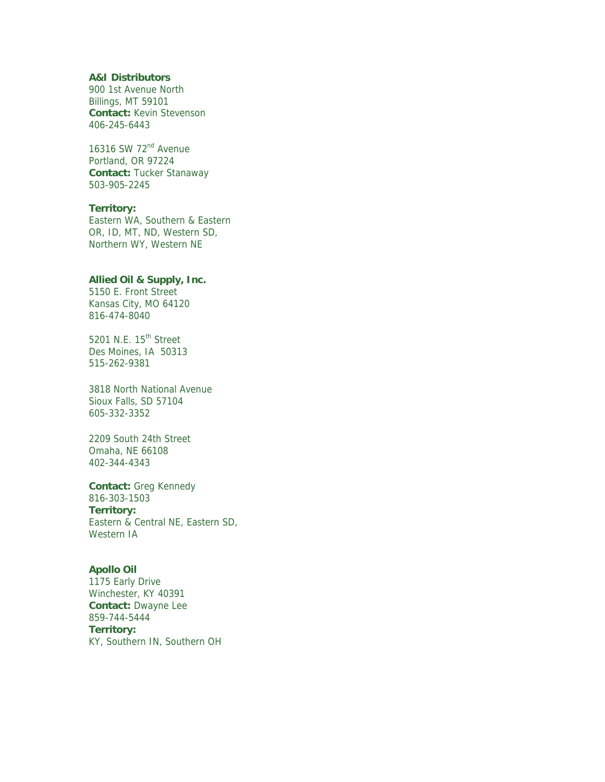## **A&I Distributors**

900 1st Avenue North Billings, MT 59101 **Contact:** Kevin Stevenson 406-245-6443

16316 SW 72<sup>nd</sup> Avenue Portland, OR 97224 **Contact:** Tucker Stanaway 503-905-2245

#### **Territory:**

Eastern WA, Southern & Eastern OR, ID, MT, ND, Western SD, Northern WY, Western NE

# **Allied Oil & Supply, Inc.**

5150 E. Front Street Kansas City, MO 64120 816-474-8040

5201 N.E. 15<sup>th</sup> Street Des Moines, IA 50313 515-262-9381

3818 North National Avenue Sioux Falls, SD 57104 605-332-3352

2209 South 24th Street Omaha, NE 66108 402-344-4343

**Contact:** Greg Kennedy 816-303-1503 **Territory:** Eastern & Central NE, Eastern SD, Western IA

### **Apollo Oil**

1175 Early Drive Winchester, KY 40391 **Contact:** Dwayne Lee 859-744-5444 **Territory:** KY, Southern IN, Southern OH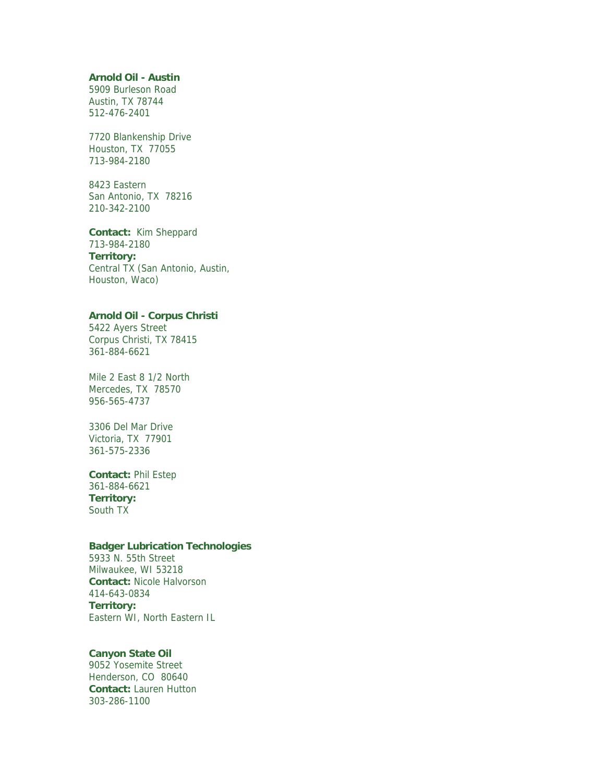# **Arnold Oil - Austin**

5909 Burleson Road Austin, TX 78744 512-476-2401

7720 Blankenship Drive Houston, TX 77055 713-984-2180

8423 Eastern San Antonio, TX 78216 210-342-2100

**Contact:** Kim Sheppard 713-984-2180 **Territory:**  Central TX (San Antonio, Austin, Houston, Waco)

# **Arnold Oil - Corpus Christi**

5422 Ayers Street Corpus Christi, TX 78415 361-884-6621

Mile 2 East 8 1/2 North Mercedes, TX 78570 956-565-4737

3306 Del Mar Drive Victoria, TX 77901 361-575-2336

**Contact:** Phil Estep 361-884-6621 **Territory:** South TX

# **Badger Lubrication Technologies**

5933 N. 55th Street Milwaukee, WI 53218 **Contact:** Nicole Halvorson 414-643-0834 **Territory:**  Eastern WI, North Eastern IL

### **Canyon State Oil**

9052 Yosemite Street Henderson, CO 80640 **Contact:** Lauren Hutton 303-286-1100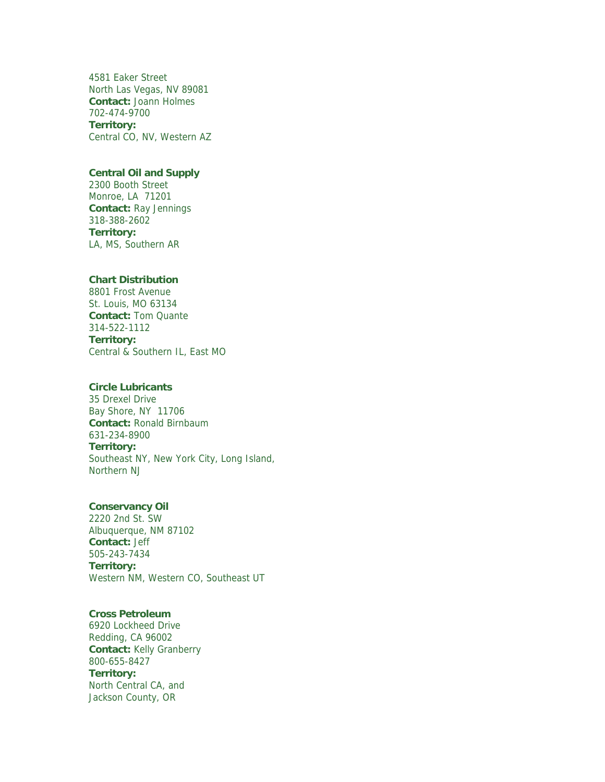4581 Eaker Street North Las Vegas, NV 89081 **Contact:** Joann Holmes 702-474-9700 **Territory:**  Central CO, NV, Western AZ

## **Central Oil and Supply**

2300 Booth Street Monroe, LA 71201 **Contact:** Ray Jennings 318-388-2602 **Territory:**  LA, MS, Southern AR

# **Chart Distribution**

8801 Frost Avenue St. Louis, MO 63134 **Contact:** Tom Quante 314-522-1112 **Territory:** Central & Southern IL, East MO

# **Circle Lubricants**

35 Drexel Drive Bay Shore, NY 11706 **Contact:** Ronald Birnbaum 631-234-8900 **Territory:** Southeast NY, New York City, Long Island, Northern NJ

# **Conservancy Oil**

2220 2nd St. SW Albuquerque, NM 87102 **Contact:** Jeff 505-243-7434 **Territory:** Western NM, Western CO, Southeast UT

# **Cross Petroleum**

6920 Lockheed Drive Redding, CA 96002 **Contact:** Kelly Granberry 800-655-8427 **Territory:**  North Central CA, and Jackson County, OR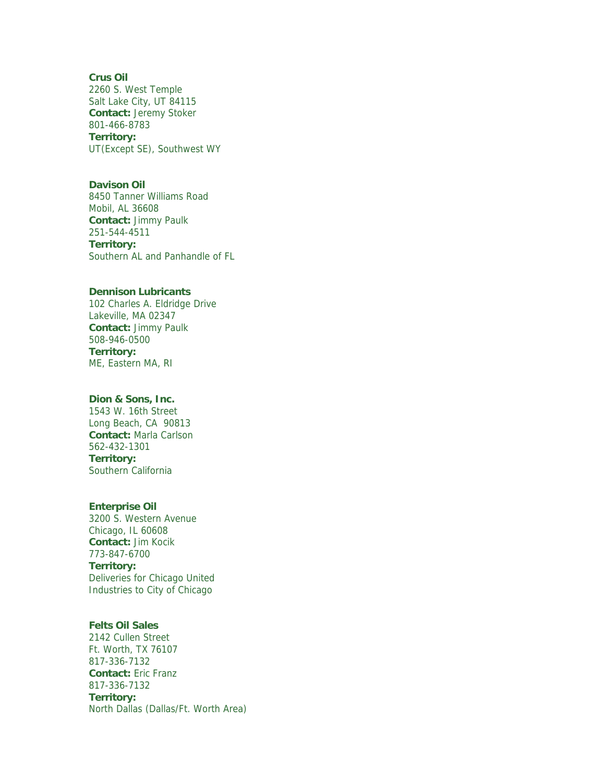# **Crus Oil** 2260 S. West Temple Salt Lake City, UT 84115 **Contact:** Jeremy Stoker 801-466-8783 **Territory:** UT(Except SE), Southwest WY

### **Davison Oil**

8450 Tanner Williams Road Mobil, AL 36608 **Contact:** Jimmy Paulk 251-544-4511 **Territory:** Southern AL and Panhandle of FL

#### **Dennison Lubricants**

102 Charles A. Eldridge Drive Lakeville, MA 02347 **Contact:** Jimmy Paulk 508-946-0500 **Territory:** ME, Eastern MA, RI

# **Dion & Sons, Inc.**

1543 W. 16th Street Long Beach, CA 90813 **Contact:** Marla Carlson 562-432-1301 **Territory:** Southern California

# **Enterprise Oil**

3200 S. Western Avenue Chicago, IL 60608 **Contact:** Jim Kocik 773-847-6700 **Territory:**  Deliveries for Chicago United Industries to City of Chicago

## **Felts Oil Sales**

2142 Cullen Street Ft. Worth, TX 76107 817-336-7132 **Contact:** Eric Franz 817-336-7132 **Territory:** North Dallas (Dallas/Ft. Worth Area)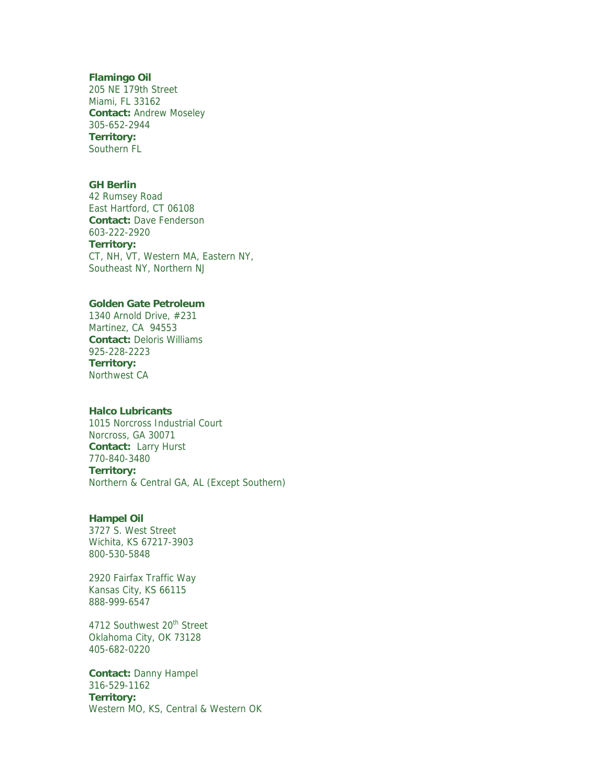## **Flamingo Oil**

205 NE 179th Street Miami, FL 33162 **Contact:** Andrew Moseley 305-652-2944 **Territory:** Southern FL

## **GH Berlin**

42 Rumsey Road East Hartford, CT 06108 **Contact:** Dave Fenderson 603-222-2920 **Territory:** CT, NH, VT, Western MA, Eastern NY, Southeast NY, Northern NJ

# **Golden Gate Petroleum**

1340 Arnold Drive, #231 Martinez, CA 94553 **Contact:** Deloris Williams 925-228-2223 **Territory:**  Northwest CA

#### **Halco Lubricants**

1015 Norcross Industrial Court Norcross, GA 30071 **Contact:** Larry Hurst 770-840-3480 **Territory:**  Northern & Central GA, AL (Except Southern)

#### **Hampel Oil**

3727 S. West Street Wichita, KS 67217-3903 800-530-5848

2920 Fairfax Traffic Way Kansas City, KS 66115 888-999-6547

4712 Southwest 20<sup>th</sup> Street Oklahoma City, OK 73128 405-682-0220

**Contact:** Danny Hampel 316-529-1162 **Territory:**  Western MO, KS, Central & Western OK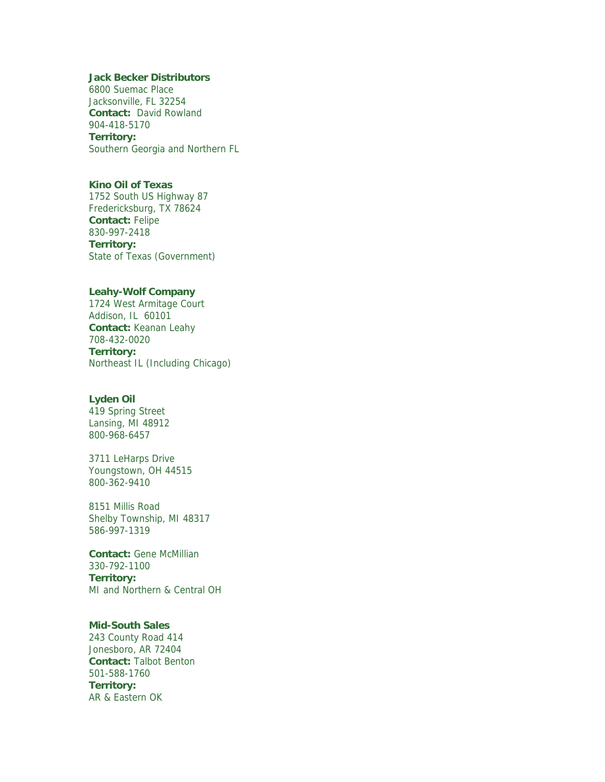### **Jack Becker Distributors**

6800 Suemac Place Jacksonville, FL 32254 **Contact:** David Rowland 904-418-5170 **Territory:** Southern Georgia and Northern FL

## **Kino Oil of Texas**

1752 South US Highway 87 Fredericksburg, TX 78624 **Contact:** Felipe 830-997-2418 **Territory:**  State of Texas (Government)

### **Leahy-Wolf Company**

1724 West Armitage Court Addison, IL 60101 **Contact:** Keanan Leahy 708-432-0020 **Territory:**  Northeast IL (Including Chicago)

#### **Lyden Oil**

419 Spring Street Lansing, MI 48912 800-968-6457

3711 LeHarps Drive Youngstown, OH 44515 800-362-9410

8151 Millis Road Shelby Township, MI 48317 586-997-1319

## **Contact:** Gene McMillian 330-792-1100 **Territory:** MI and Northern & Central OH

#### **Mid-South Sales**

243 County Road 414 Jonesboro, AR 72404 **Contact:** Talbot Benton 501-588-1760 **Territory:**  AR & Eastern OK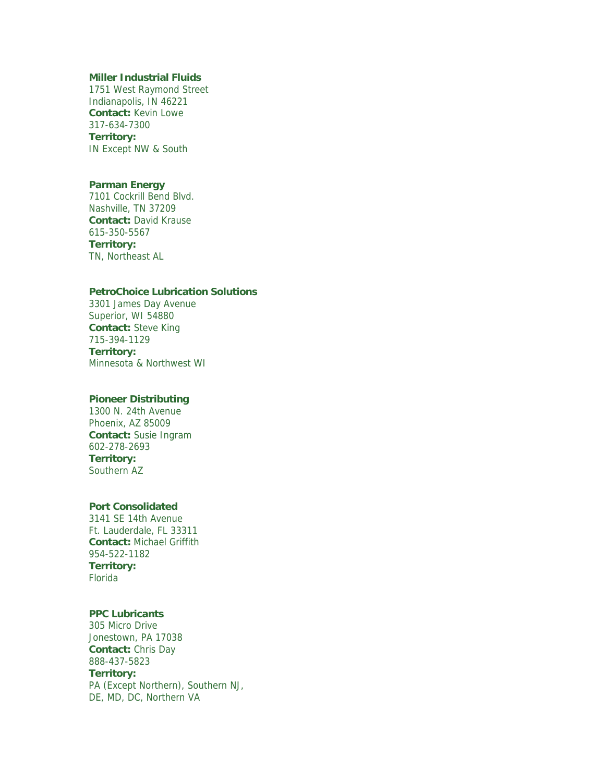## **Miller Industrial Fluids**

1751 West Raymond Street Indianapolis, IN 46221 **Contact:** Kevin Lowe 317-634-7300 **Territory:**  IN Except NW & South

#### **Parman Energy**

7101 Cockrill Bend Blvd. Nashville, TN 37209 **Contact:** David Krause 615-350-5567 **Territory:** TN, Northeast AL

### **PetroChoice Lubrication Solutions**

3301 James Day Avenue Superior, WI 54880 **Contact:** Steve King 715-394-1129 **Territory:**  Minnesota & Northwest WI

# **Pioneer Distributing**

1300 N. 24th Avenue Phoenix, AZ 85009 **Contact:** Susie Ingram 602-278-2693 **Territory:** Southern AZ

## **Port Consolidated**

3141 SE 14th Avenue Ft. Lauderdale, FL 33311 **Contact:** Michael Griffith 954-522-1182 **Territory:**  Florida

# **PPC Lubricants**

305 Micro Drive Jonestown, PA 17038 **Contact:** Chris Day 888-437-5823 **Territory:** PA (Except Northern), Southern NJ, DE, MD, DC, Northern VA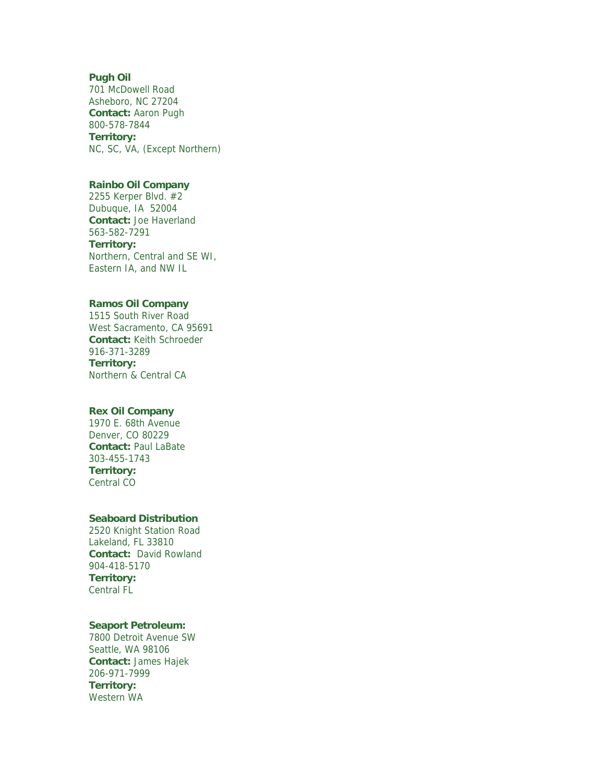# **Pugh Oil**

701 McDowell Road Asheboro, NC 27204 **Contact:** Aaron Pugh 800-578-7844 **Territory:** NC, SC, VA, (Except Northern)

# **Rainbo Oil Company**

2255 Kerper Blvd. #2 Dubuque, IA 52004 **Contact:** Joe Haverland 563-582-7291 **Territory:**  Northern, Central and SE WI, Eastern IA, and NW IL

# **Ramos Oil Company**

1515 South River Road West Sacramento, CA 95691 **Contact:** Keith Schroeder 916-371-3289 **Territory:**  Northern & Central CA

#### **Rex Oil Company**

1970 E. 68th Avenue Denver, CO 80229 **Contact:** Paul LaBate 303-455-1743 **Territory:** Central CO

## **Seaboard Distribution**

2520 Knight Station Road Lakeland, FL 33810 **Contact:** David Rowland 904-418-5170 **Territory:** Central FL

## **Seaport Petroleum:**

7800 Detroit Avenue SW Seattle, WA 98106 **Contact:** James Hajek 206-971-7999 **Territory:**  Western WA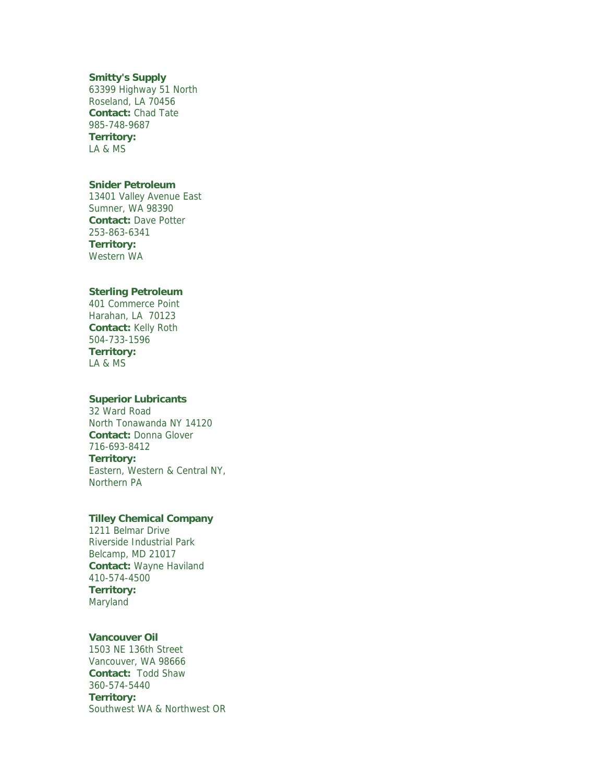# **Smitty's Supply**

63399 Highway 51 North Roseland, LA 70456 **Contact:** Chad Tate 985-748-9687 **Territory:**  LA & MS

### **Snider Petroleum**

13401 Valley Avenue East Sumner, WA 98390 **Contact:** Dave Potter 253-863-6341 **Territory:**  Western WA

#### **Sterling Petroleum**

401 Commerce Point Harahan, LA 70123 **Contact:** Kelly Roth 504-733-1596 **Territory:**  LA & MS

# **Superior Lubricants**

32 Ward Road North Tonawanda NY 14120 **Contact:** Donna Glover 716-693-8412 **Territory:** Eastern, Western & Central NY, Northern PA

### **Tilley Chemical Company**

1211 Belmar Drive Riverside Industrial Park Belcamp, MD 21017 **Contact:** Wayne Haviland 410-574-4500 **Territory:**  Maryland

# **Vancouver Oil**

1503 NE 136th Street Vancouver, WA 98666 **Contact:** Todd Shaw 360-574-5440 **Territory:** Southwest WA & Northwest OR